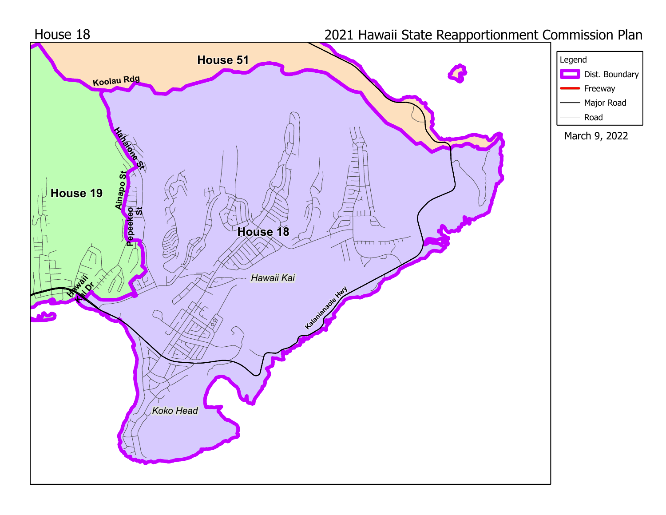